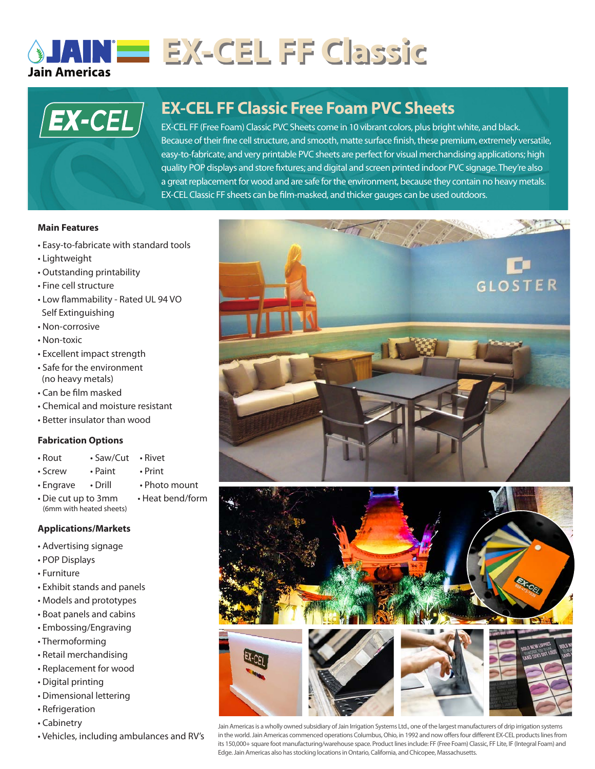

# **EX-CEL FF Classic**



# **EX-CEL FF Classic Free Foam PVC Sheets**

quality POP displays and store fixtures; and digital and screen printed indoor PVC signage. They're also EX-CEL FF (Free Foam) Classic PVC Sheets come in 10 vibrant colors, plus bright white, and black. Because of their fine cell structure, and smooth, matte surface finish, these premium, extremely versatile, easy-to-fabricate, and very printable PVC sheets are perfect for visual merchandising applications; high a great replacement for wood and are safe for the environment, because they contain no heavy metals. EX-CEL Classic FF sheets can be film-masked, and thicker gauges can be used outdoors.

### **Main Features**

- Easy-to-fabricate with standard tools
- Lightweight
- Outstanding printability
- Fine cell structure
- Low flammability Rated UL 94 VO Self Extinguishing
- Non-corrosive
- Non-toxic
- Excellent impact strength
- Safe for the environment (no heavy metals)
- Can be film masked
- Chemical and moisture resistant
- Better insulator than wood

## **Fabrication Options**

- Rout Saw/Cut Rivet
- Screw Paint Print
	-
- Engrave Drill Photo mount
	-
- Die cut up to 3mm Heat bend/form (6mm with heated sheets)

# **Applications/Markets**

- Advertising signage
- POP Displays
- Furniture
- Exhibit stands and panels
- Models and prototypes
- Boat panels and cabins
- Embossing/Engraving
- Thermoforming
- Retail merchandising
- Replacement for wood
- Digital printing
- Dimensional lettering
- Refrigeration
- Cabinetry
- Vehicles, including ambulances and RV's



Jain Americas is a wholly owned subsidiary of Jain Irrigation Systems Ltd., one of the largest manufacturers of drip irrigation systems in the world. Jain Americas commenced operations Columbus, Ohio, in 1992 and now offers four different EX-CEL products lines from its 150,000+ square foot manufacturing/warehouse space. Product lines include: FF (Free Foam) Classic, FF Lite, IF (Integral Foam) and Edge. Jain Americas also has stocking locations in Ontario, California, and Chicopee, Massachusetts.